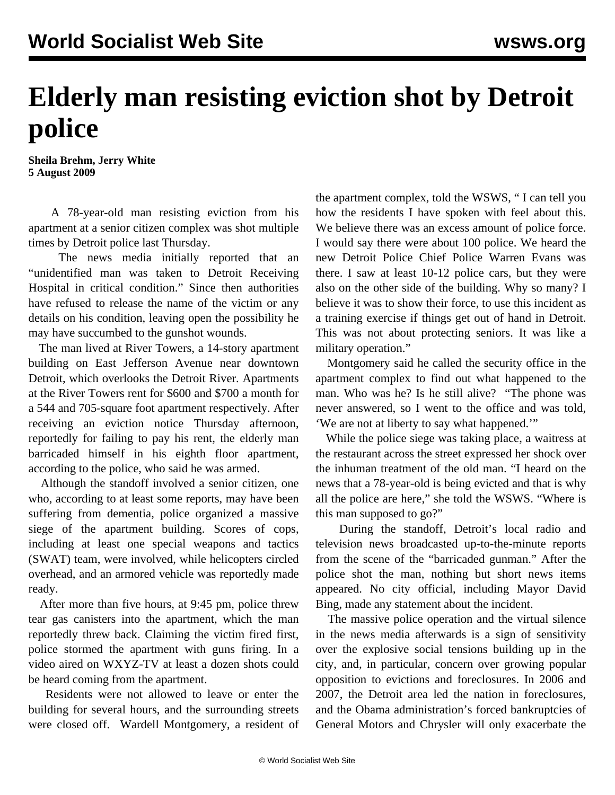## **Elderly man resisting eviction shot by Detroit police**

**Sheila Brehm, Jerry White 5 August 2009**

 A 78-year-old man resisting eviction from his apartment at a senior citizen complex was shot multiple times by Detroit police last Thursday.

 The news media initially reported that an "unidentified man was taken to Detroit Receiving Hospital in critical condition." Since then authorities have refused to release the name of the victim or any details on his condition, leaving open the possibility he may have succumbed to the gunshot wounds.

 The man lived at River Towers, a 14-story apartment building on East Jefferson Avenue near downtown Detroit, which overlooks the Detroit River. Apartments at the River Towers rent for \$600 and \$700 a month for a 544 and 705-square foot apartment respectively. After receiving an eviction notice Thursday afternoon, reportedly for failing to pay his rent, the elderly man barricaded himself in his eighth floor apartment, according to the police, who said he was armed.

 Although the standoff involved a senior citizen, one who, according to at least some reports, may have been suffering from dementia, police organized a massive siege of the apartment building. Scores of cops, including at least one special weapons and tactics (SWAT) team, were involved, while helicopters circled overhead, and an armored vehicle was reportedly made ready.

 After more than five hours, at 9:45 pm, police threw tear gas canisters into the apartment, which the man reportedly threw back. Claiming the victim fired first, police stormed the apartment with guns firing. In a video aired on WXYZ-TV at least a dozen shots could be heard coming from the apartment.

 Residents were not allowed to leave or enter the building for several hours, and the surrounding streets were closed off. Wardell Montgomery, a resident of the apartment complex, told the WSWS, " I can tell you how the residents I have spoken with feel about this. We believe there was an excess amount of police force. I would say there were about 100 police. We heard the new Detroit Police Chief Police Warren Evans was there. I saw at least 10-12 police cars, but they were also on the other side of the building. Why so many? I believe it was to show their force, to use this incident as a training exercise if things get out of hand in Detroit. This was not about protecting seniors. It was like a military operation."

 Montgomery said he called the security office in the apartment complex to find out what happened to the man. Who was he? Is he still alive? "The phone was never answered, so I went to the office and was told, 'We are not at liberty to say what happened.'"

 While the police siege was taking place, a waitress at the restaurant across the street expressed her shock over the inhuman treatment of the old man. "I heard on the news that a 78-year-old is being evicted and that is why all the police are here," she told the WSWS. "Where is this man supposed to go?"

 During the standoff, Detroit's local radio and television news broadcasted up-to-the-minute reports from the scene of the "barricaded gunman." After the police shot the man, nothing but short news items appeared. No city official, including Mayor David Bing, made any statement about the incident.

 The massive police operation and the virtual silence in the news media afterwards is a sign of sensitivity over the explosive social tensions building up in the city, and, in particular, concern over growing popular opposition to evictions and foreclosures. In 2006 and 2007, the Detroit area led the nation in foreclosures, and the Obama administration's forced bankruptcies of General Motors and Chrysler will only exacerbate the